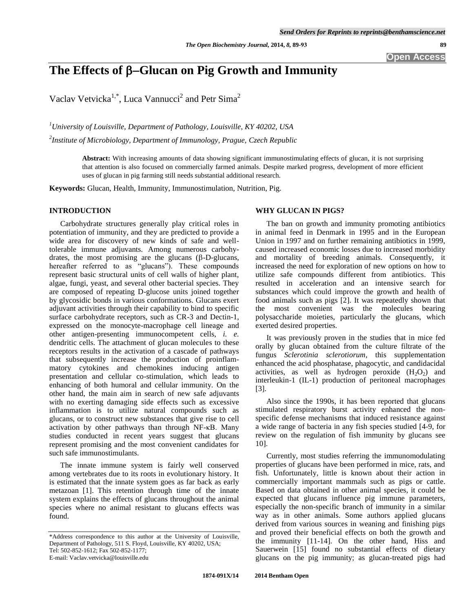# The Effects of β–Glucan on Pig Growth and Immunity

Vaclav Vetvicka<sup>1,\*</sup>, Luca Vannucci<sup>2</sup> and Petr Sima<sup>2</sup>

*<sup>1</sup>University of Louisville, Department of Pathology, Louisville, KY 40202, USA* 

*2 Institute of Microbiology, Department of Immunology, Prague, Czech Republic* 

**Abstract:** With increasing amounts of data showing significant immunostimulating effects of glucan, it is not surprising that attention is also focused on commercially farmed animals. Despite marked progress, development of more efficient uses of glucan in pig farming still needs substantial additional research.

**Keywords:** Glucan, Health, Immunity, Immunostimulation, Nutrition, Pig.

# **INTRODUCTION**

 Carbohydrate structures generally play critical roles in potentiation of immunity, and they are predicted to provide a wide area for discovery of new kinds of safe and welltolerable immune adjuvants. Among numerous carbohydrates, the most promising are the glucans  $(\beta-D)$ -glucans, hereafter referred to as "glucans"). These compounds represent basic structural units of cell walls of higher plant, algae, fungi, yeast, and several other bacterial species. They are composed of repeating D-glucose units joined together by glycosidic bonds in various conformations. Glucans exert adjuvant activities through their capability to bind to specific surface carbohydrate receptors, such as CR-3 and Dectin-1, expressed on the monocyte-macrophage cell lineage and other antigen-presenting immunocompetent cells, *i. e.* dendritic cells. The attachment of glucan molecules to these receptors results in the activation of a cascade of pathways that subsequently increase the production of proinflammatory cytokines and chemokines inducing antigen presentation and cellular co-stimulation, which leads to enhancing of both humoral and cellular immunity. On the other hand, the main aim in search of new safe adjuvants with no exerting damaging side effects such as excessive inflammation is to utilize natural compounds such as glucans, or to construct new substances that give rise to cell activation by other pathways than through NF-κB. Many studies conducted in recent years suggest that glucans represent promising and the most convenient candidates for such safe immunostimulants.

 The innate immune system is fairly well conserved among vertebrates due to its roots in evolutionary history. It is estimated that the innate system goes as far back as early metazoan [1]. This retention through time of the innate system explains the effects of glucans throughout the animal species where no animal resistant to glucans effects was found.

### **WHY GLUCAN IN PIGS?**

 The ban on growth and immunity promoting antibiotics in animal feed in Denmark in 1995 and in the European Union in 1997 and on further remaining antibiotics in 1999, caused increased economic losses due to increased morbidity and mortality of breeding animals. Consequently, it increased the need for exploration of new options on how to utilize safe compounds different from antibiotics. This resulted in acceleration and an intensive search for substances which could improve the growth and health of food animals such as pigs [2]. It was repeatedly shown that the most convenient was the molecules bearing polysaccharide moieties, particularly the glucans, which exerted desired properties.

 It was previously proven in the studies that in mice fed orally by glucan obtained from the culture filtrate of the fungus *Sclerotinia sclerotiorum,* this supplementation enhanced the acid phosphatase, phagocytic, and candidacidal activities, as well as hydrogen peroxide  $(H_2O_2)$  and interleukin-1 (IL-1) production of peritoneal macrophages [3].

 Also since the 1990s, it has been reported that glucans stimulated respiratory burst activity enhanced the nonspecific defense mechanisms that induced resistance against a wide range of bacteria in any fish species studied [4-9, for review on the regulation of fish immunity by glucans see 10].

 Currently, most studies referring the immunomodulating properties of glucans have been performed in mice, rats, and fish. Unfortunately, little is known about their action in commercially important mammals such as pigs or cattle. Based on data obtained in other animal species, it could be expected that glucans influence pig immune parameters, especially the non-specific branch of immunity in a similar way as in other animals. Some authors applied glucans derived from various sources in weaning and finishing pigs and proved their beneficial effects on both the growth and the immunity [11-14]. On the other hand, Hiss and Sauerwein [15] found no substantial effects of dietary glucans on the pig immunity; as glucan-treated pigs had

<sup>\*</sup>Address correspondence to this author at the University of Louisville, Department of Pathology, 511 S. Floyd, Louisville, KY 40202, USA; Tel: 502-852-1612; Fax 502-852-1177; E-mail: Vaclav.vetvicka@louisville.edu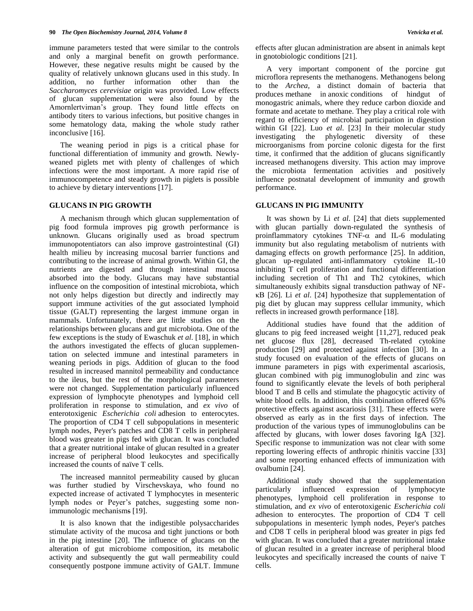immune parameters tested that were similar to the controls and only a marginal benefit on growth performance. However, these negative results might be caused by the quality of relatively unknown glucans used in this study. In addition, no further information other than the *Saccharomyces cerevisiae* origin was provided. Low effects of glucan supplementation were also found by the Amornlertviman's group. They found little effects on antibody titers to various infections, but positive changes in some hematology data, making the whole study rather inconclusive [16].

 The weaning period in pigs is a critical phase for functional differentiation of immunity and growth. Newlyweaned piglets met with plenty of challenges of which infections were the most important. A more rapid rise of immunocompetence and steady growth in piglets is possible to achieve by dietary interventions [17].

# **GLUCANS IN PIG GROWTH**

 A mechanism through which glucan supplementation of pig food formula improves pig growth performance is unknown. Glucans originally used as broad spectrum immunopotentiators can also improve gastrointestinal (GI) health milieu by increasing mucosal barrier functions and contributing to the increase of animal growth. Within GI, the nutrients are digested and through intestinal mucosa absorbed into the body. Glucans may have substantial influence on the composition of intestinal microbiota, which not only helps digestion but directly and indirectly may support immune activities of the gut associated lymphoid tissue (GALT) representing the largest immune organ in mammals. Unfortunately, there are little studies on the relationships between glucans and gut microbiota. One of the few exceptions is the study of Ewaschuk *et al*. [18], in which the authors investigated the effects of glucan supplementation on selected immune and intestinal parameters in weaning periods in pigs. Addition of glucan to the food resulted in increased mannitol permeability and conductance to the ileus, but the rest of the morphological parameters were not changed. Supplementation particularly influenced expression of lymphocyte phenotypes and lymphoid cell proliferation in response to stimulation, and *ex vivo* of enterotoxigenic *Escherichia coli* adhesion to enterocytes. The proportion of CD4 T cell subpopulations in mesenteric lymph nodes, Peyer's patches and CD8 T cells in peripheral blood was greater in pigs fed with glucan. It was concluded that a greater nutritional intake of glucan resulted in a greater increase of peripheral blood leukocytes and specifically increased the counts of naïve T cells.

 The increased mannitol permeability caused by glucan was further studied by Virschevskaya, who found no expected increase of activated T lymphocytes in mesenteric lymph nodes or Peyer's patches, suggesting some nonimmunologic mechanisms [19].

 It is also known that the indigestible polysaccharides stimulate activity of the mucosa and tight junctions or both in the pig intestine [20]. The influence of glucans on the alteration of gut microbiome composition, its metabolic activity and subsequently the gut wall permeability could consequently postpone immune activity of GALT. Immune effects after glucan administration are absent in animals kept in gnotobiologic conditions [21].

 A very important component of the porcine gut microflora represents the methanogens. Methanogens belong to the *Archea,* a distinct domain of bacteria that produces methane in [anoxic](http://en.wikipedia.org/wiki/Hypoxia_(environmental)) conditions of hindgut of monogastric animals, where they reduce carbon dioxide and formate and acetate to methane. They play a critical role with regard to efficiency of microbial participation in digestion within GI [22]. Luo *et al*. [23] In their molecular study investigating the phylogenetic diversity of these microorganisms from porcine colonic digesta for the first time, it confirmed that the addition of glucans significantly increased methanogens diversity. This action may improve the microbiota fermentation activities and positively influence postnatal development of immunity and growth performance.

### **GLUCANS IN PIG IMMUNITY**

 It was shown by Li *et al*. [24] that diets supplemented with glucan partially down-regulated the synthesis of proinflammatory cytokines  $TNF-\alpha$  and IL-6 modulating immunity but also regulating metabolism of nutrients with damaging effects on growth performance [25]. In addition, glucan up-regulated anti-inflammatory cytokine IL-10 inhibiting T cell proliferation and functional differentiation including secretion of Th1 and Th2 cytokines, which simultaneously exhibits signal transduction pathway of NFκB [26]. Li *et al*. [24] hypothesize that supplementation of pig diet by glucan may suppress cellular immunity, which reflects in increased growth performance [18].

 Additional studies have found that the addition of glucans to pig feed increased weight [11,27], reduced peak net glucose flux [28], decreased Th-related cytokine production [29] and protected against infection [30]. In a study focused on evaluation of the effects of glucans on immune parameters in pigs with experimental ascariosis, glucan combined with pig immunoglobulin and zinc was found to significantly elevate the levels of both peripheral blood T and B cells and stimulate the phagocytic activity of white blood cells. In addition, this combination offered 65% protective effects against ascariosis [31]. These effects were observed as early as in the first days of infection. The production of the various types of immunoglobulins can be affected by glucans, with lower doses favoring IgA [32]. Specific response to immunization was not clear with some reporting lowering effects of anthropic rhinitis vaccine [33] and some reporting enhanced effects of immunization with ovalbumin [24].

 Additional study showed that the supplementation particularly influenced expression of lymphocyte phenotypes, lymphoid cell proliferation in response to stimulation, and *ex vivo* of enterotoxigenic *Escherichia coli*  adhesion to enterocytes. The proportion of CD4 T cell subpopulations in mesenteric lymph nodes, Peyer's patches and CD8 T cells in peripheral blood was greater in pigs fed with glucan. It was concluded that a greater nutritional intake of glucan resulted in a greater increase of peripheral blood leukocytes and specifically increased the counts of naive T cells.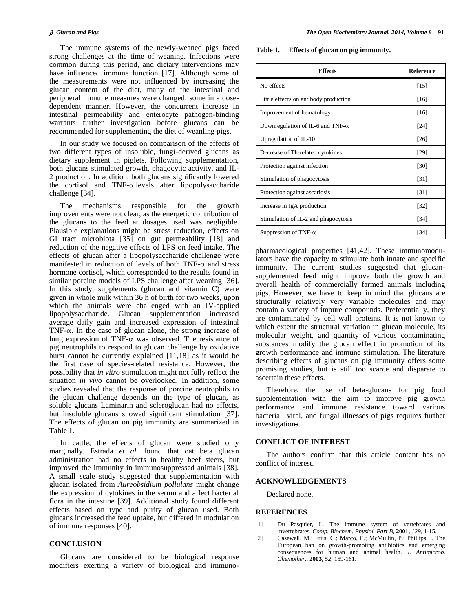The immune systems of the newly-weaned pigs faced strong challenges at the time of weaning. Infections were common during this period, and dietary interventions may have influenced immune function [17]. Although some of the measurements were not influenced by increasing the glucan content of the diet, many of the intestinal and peripheral immune measures were changed, some in a dosedependent manner. However, the concurrent increase in intestinal permeability and enterocyte pathogen-binding warrants further investigation before glucans can be recommended for supplementing the diet of weanling pigs.

 In our study we focused on comparison of the effects of two different types of insoluble, fungi-derived glucans as dietary supplement in piglets. Following supplementation, both glucans stimulated growth, phagocytic activity, and IL-2 production. In addition, both glucans significantly lowered the cortisol and  $TNF-\alpha$  levels after lipopolysaccharide challenge [34].

 The mechanisms responsible for the growth improvements were not clear, as the energetic contribution of the glucans to the feed at dosages used was negligible. Plausible explanations might be stress reduction, effects on GI tract microbiota [35] on gut permeability [18] and reduction of the negative effects of LPS on feed intake. The effects of glucan after a lipopolysaccharide challenge were manifested in reduction of levels of both  $TNF-\alpha$  and stress hormone cortisol, which corresponded to the results found in similar porcine models of LPS challenge after weaning [36]. In this study, supplements (glucan and vitamin C) were given in whole milk within 36 h of birth for two weeks, upon which the animals were challenged with an IV-applied lipopolysaccharide. Glucan supplementation increased average daily gain and increased expression of intestinal TNF- $\alpha$ . In the case of glucan alone, the strong increase of lung expression of TNF- $\alpha$  was observed. The resistance of pig neutrophils to respond to glucan challenge by oxidative burst cannot be currently explained [11,18] as it would be the first case of species-related resistance. However, the possibility that *in vitro* stimulation might not fully reflect the situation *in vivo* cannot be overlooked. In addition, some studies revealed that the response of porcine neutrophils to the glucan challenge depends on the type of glucan, as soluble glucans Laminarin and scleroglucan had no effects, but insoluble glucans showed significant stimulation [37]. The effects of glucan on pig immunity are summarized in Table **1**.

 In cattle, the effects of glucan were studied only marginally. Estrada *et al*. found that oat beta glucan administration had no effects in healthy beef steers, but improved the immunity in immunosuppressed animals [38]. A small scale study suggested that supplementation with glucan isolated from *Aureobsidium pollulans* might change the expression of cytokines in the serum and affect bacterial flora in the intestine [39]. Additional study found different effects based on type and purity of glucan used. Both glucans increased the feed uptake, but differed in modulation of immune responses [40].

# **CONCLUSION**

 Glucans are considered to be biological response modifiers exerting a variety of biological and immuno-

**Table 1. Effects of glucan on pig immunity.**

| <b>Effects</b>                           | <b>Reference</b>  |
|------------------------------------------|-------------------|
| No effects                               | [15]              |
| Little effects on antibody production    | [16]              |
| Improvement of hematology                | $[16]$            |
| Downregulation of IL-6 and TNF- $\alpha$ | [24]              |
| Upregulation of IL-10                    | $[26]$            |
| Decrease of Th-related cytokines         | [29]              |
| Protection against infection             | [30]              |
| Stimulation of phagocytosis              | [31]              |
| Protection against ascariosis            | [31]              |
| Increase in IgA production               | $\left[32\right]$ |
| Stimulation of IL-2 and phagocytosis     | $[34]$            |
| Suppression of TNF- $\alpha$             | [34]              |

pharmacological properties [41,42]. These immunomodulators have the capacity to stimulate both innate and specific immunity. The current studies suggested that glucansupplemented feed might improve both the growth and overall health of commercially farmed animals including pigs. However, we have to keep in mind that glucans are structurally relatively very variable molecules and may contain a variety of impure compounds. Preferentially, they are contaminated by cell wall proteins. It is not known to which extent the structural variation in glucan molecule, its molecular weight, and quantity of various contaminating substances modify the glucan effect in promotion of its growth performance and immune stimulation. The literature describing effects of glucans on pig immunity offers some promising studies, but is still too scarce and disparate to ascertain these effects.

 Therefore, the use of beta-glucans for pig food supplementation with the aim to improve pig growth performance and immune resistance toward various bacterial, viral, and fungal illnesses of pigs requires further investigations.

### **CONFLICT OF INTEREST**

 The authors confirm that this article content has no conflict of interest.

# **ACKNOWLEDGEMENTS**

Declared none.

### **REFERENCES**

- [1] Du Pasquier, L. The immune system of vertebrates and invertebrates. *Comp. Biochem. Physiol. Part B,* **2001,** *129,* 1-15.
- [2] Casewell, M.; Friis, C.; Marco, E.; McMullin, P.; Phillips, I. The European ban on growth-promoting antibiotics and emerging consequences for human and animal health. *J. Antimicrob. Chemother.,* **2003,** *52,* 159-161.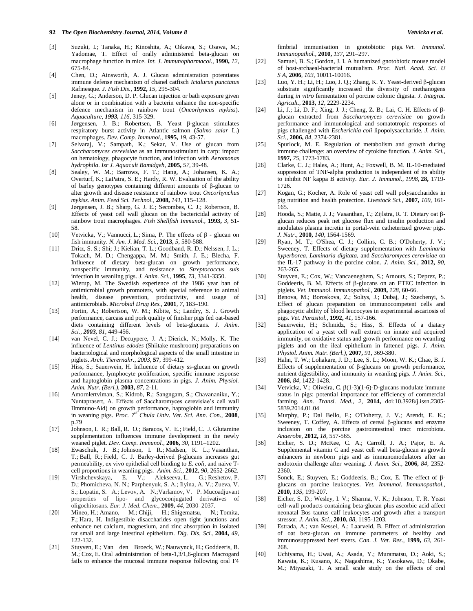- [3] Suzuki, I.; Tanaka, H.; Kinoshita, A.; Oikawa, S.; Osawa, M.; Yadomae, T. Effect of orally administered beta-glucan on macrophage function in mice. *Int. J. Immunopharmacol.,* **1990,** *12,*  675-84.
- [4] Chen, D.; Ainsworth, A. J. Glucan administration potentiates immune defense mechanism of chanel catfisch *Ictalurus punctatus* Rafinesque. *J. Fish Dis.,* **1992,** *15,* 295-304.
- [5] Jeney, G.; Anderson, D. P. Glucan injection or bath exposure given alone or in combination with a bacterin enhance the non-specific defence mechanism in rainbow trout (*Oncorhyncus mykiss*). *Aquaculture, 1993, 116,* 315-329.
- [6] Jørgensen, J. B.; Robertsen, B. Yeast β-glucan stimulates respiratory burst activity in Atlantic salmon (*Salmo salar* L.) macrophages. *Dev. Comp. Immunol.,* **1995,** *19,* 43-57.
- [7] Selvaraj, V.; Sampath, K.; Sekar, V. Use of glucan from *Saccharomyces cerevisiae* as an immunostimulant in carp: impact on hematology, phagocyte function, and infection with *Aeromonas hydrophila*. *Isr J. Aquacult Bamidgeh,* **2005,** *57,* 39-48.
- [8] Sealey, W. M.; Barrows, F. T.; Hang, A.; Johansen, K. A.; Overturf, K.; LaPatra, S. E.; Hardy, R. W. Evaluation of the ability of barley genotypes containing different amounts of  $\beta$ -glucan to alter growth and disease resistance of rainbow trout *Oncorhynchus mykiss*. *Anim. Feed Sci. Technol.,* **2008,** *141,* 115–128.
- [9] Jørgensen, J. B.; Sharp, G. J. E.; Secombes, C. J.; Robertson, B. Effects of yeast cell wall glucan on the bactericidal activity of rainbow trout macrophages. *Fish Shellfish Immunol.,* **1993,** *3,* 51- 58.
- [10] Vetvicka, V.; Vannucci, L.; Sima, P. The effects of β glucan on fish immunity. *N. Am. J. Med. Sci.,* **2013,** *5,* 580-588.
- [11] Dritz, S. S.; Shi; J.; Kielian, T. L.; Goodband, R. D.; Nelssen, J. L.; Tokach, M. D.; Chengappa, M. M.; Smith, J. E.; Blecha, F. Influence of dietary beta-glucan on growth performance, nonspecific immunity, and resistance to *Streptococcus suis*  infection in weanling pigs. *J. Anim. Sci.,* **1995**, *73*, 3341-3350.
- [12] Wierup, M. The Swedish experience of the 1986 year ban of antimicrobial growth promoters, with special reference to animal health, disease prevention, productivity, and usage of antimicrobials. *Microbial Drug Res.,* **2001***, 7*, 183–190.
- [13] Fortin, A.; Robertson, W. M.; Kibite, S.; Landry, S. J. Growth performance, carcass and pork quality of finisher pigs fed oat-based diets containing different levels of beta-glucans. *J. Anim. Sci., 2003, 81,* 449-456.
- [14] van Nevel, C. J.; Decuypere, J. A.; Dierick, N.; Molly, K. The influence of *Lentinus edodes* (Shiitake mushroom) preparations on bacteriological and morphological aspects of the small intestine in piglets. *Arch. Tierernahr., 2003,* **57***,* 399-412.
- [15] Hiss, S.; Sauerwein, H. Influence of dietary ss-glucan on growth performance, lymphocyte proliferation, specific immune response and haptoglobin plasma concentrations in pigs. *J. Anim. Physiol. Anim. Nutr. (Berl.),* **2003,** *87,* 2-11.
- [16] Amornlertviman, S.; Kidrob, R.; Sangngam, S.; Chavananiku, Y.; Nuntaprasert, A. Effects of Saccharomyces cerevisiae's cell wall IImmuno-Aid) on growth performance, haptoglobin and immunity in weaning pigs. *Proc. 7th Chula Univ. Vet. Sci. Ann. Con.,* **2008**, p.79
- [17] Johnson, I. R.; Ball, R. O.; Baracos, V. E.; Field, C. J. Glutamine supplementation influences immune development in the newly weaned piglet. *Dev. Comp. Immunol.,* **2006,** *30,* 1191–1202.
- [18] Ewaschuk, J. B.; Johnson, I. R.; Madsen, K. L.; Vasanthan, T.; Ball, R.; Field, C. J. Barley-derived β-glucans increases gut permeability, ex vivo epithelial cell binding to *E. coli*, and naive Tcell proportions in weanling pigs. *Anim. Sci.,* **2012,** *90,* 2652-2662.
- [19] Virshchevskaya, E. V.; Alekseeva, L. G.; Reshetov, P. D.; Phomicheva, N. N.; Parphenyuk, S. A.; Ilyina, A. V.; Zueva, V. S.; Lopatin, S. A.; Levov, A. N.;Varlamov, V. P. Mucoadjuvant properties of lipo- and glycoconjugated derivatives of oligochitosans. *Eur. J. Med. Chem.,* **2009,** *44,* 2030–2037.
- [20] Mineo, H.; Amano, M.; Chiji, H.; Shigematsu, N.; Tomita, F.; Hara, H. Indigestible disaccharides open tight junctions and enhance net calcium, magnesium, and zinc absorption in isolated rat small and large intestinal epithelium. *Dig. Dis, Sci.,* **2004,** *49,* 122-132.
- [21] Stuyven, E.; Van den Broeck, W.; Nauwynck, H.; Goddeeris, B. M.; Cox, E. Oral administration of beta-1,3/1,6-glucan Macrogard fails to enhance the mucosal immune response following oral F4

fimbrial immunisation in gnotobiotic pigs. *Vet. Immunol. Immunopathol.,* **2010,** *137,* 291–297.

- [22] Samuel, B. S.; Gordon, J. I. A humanized gnotobiotic mouse model of host-archaeal-bacterial mutualism. *Proc. Natl. Acad. Sci. U S A,* **2006***, 103,* 10011-10016.
- [23] Luo, Y. H.; Li, H.; Luo, J. Q.; Zhang, K. Y. Yeast-derived  $\beta$ -glucan substrate significantly increased the diversity of methanogens during *in vitro* fermentation of porcine colonic digesta. *J. Integrat. Agricult.,* **2013,** *12,* 2229-2234.
- [24] Li, J.; Li, D. F.; Xing, J. J.; Cheng, Z. B.; Lai, C. H. Effects of  $\beta$ glucan extracted from *Saccharomyces cerevisiae* on growth performance and immunological and somatotropic responses of pigs challenged with *Escherichia coli* lipopolysaccharide*. J. Anim. Sci.,* **2006,** *84,* 2374-2381.
- [25] Spurlock, M. E. Regulation of metabolism and growth during immune challenge: an overview of cytokine function. *J. Anim. Sci.,*  **1997,** *75,* 1773-1783.
- [26] Clarke, C. J.; Hales, A.; Hunt, A.; Foxwell, B. M. IL-10-mediated suppression of TNF-alpha production is independent of its ability to inhibit NF kappa B activity. *Eur. J. Immunol., 1998,* **28,** 1719- 1726.
- [27] Kogan, G.; Kocher, A. Role of yeast cell wall polysaccharides in pig nutrition and health protection. *Livestock Sci.,* **2007,** *109,* 161- 165.
- [28] Hooda, S.; Matte, J. J.; Vasanthan, T.; Zijlstra, R. T. Dietary oat  $\beta$ glucan reduces peak net glucose flux and insulin production and modulates plasma incretin in portal-vein catheterized grower pigs. *J. Nutr.,* **2010,** *140,* 1564-1569.
- [29] Ryan, M. T.; O'Shea, C. J.; Collins, C. B.; O'Doherty, J. V.; Sweeney, T. Effects of dietary supplementation with *Laminaria hyperborea, Laminaria digitata,* and *Saccharomyces cerevisiae* on the IL-17 pathway in the porcine colon*. J. Anim. Sci.,* **2012,** *90,* 263-265.
- [30] Stuyven, E.; Cox, W.; Vancaeneghem, S.; Arnouts, S.; Deprez, P.; Goddeeris, B. M. Effects of  $\beta$ -glucans on an ETEC infection in piglets. *Vet. Immunol. Immunopathol.,* **2009,** *128,* 60-66.
- [31] Benova, M.; Boroskova, Z.; Soltys, J.; Dubaj, J.; Szechenyi, S. Effect of glucan preparation on immunocompetent cells and phagocytic ability of blood leucocytes in experimental ascariosis of pigs. *Vet. Parasitol.,* **1992,** *41,* 157-166.
- [32] Sauerwein, H.; Schmidz, S.; Hiss, S. Effects of a diatary application of a yeast cell wall extract on innate and acquired immunity, on oxidative status and growth performance on weanling piglets and on the ileal epithelium in fattened pigs. *J. Anim. Physiol. Anim. Nutr. (Berl.),* **2007,** *91*, 369-380.
- [33] Hahn, T. W.; Lohakare, J. D.; Lee, S. L.; Moon, W. K.; Chae, B. J. Effects of supplementation of  $\beta$ -glucans on growth performance, nutrient digestibility, and immunity in weanling pigs. *J. Anim. Sci.,*  **2006,** *84,* 1422-1428.
- [34] Vetvicka, V.; Oliveira, C.  $\beta$ (1-3)(1-6)-D-glucans modulate immune status in pigs: potential importance for efficiency of commercial farming. *Ann. Transl. Med., 2,* **2014,** doi:10.3928/j.issn.2305- 5839.2014.01.04
- [35] Murphy, P.; Dal Bello, F.; O'Doherty, J. V.; Arendt, E. K.; Sweeney, T. Coffey, A. Effects of cereal  $\beta$ -glucans and enzyme inclusion on the porcine gastrointestinal tract microbiota. *Anaerobe,* **2012,** *18,* 557-565.
- [36] Eicher, S. D.; McKee, C. A.; Carroll, J. A.; Pajor, E. A. Supplemental vitamin C and yeast cell wall beta-glucan as growth enhancers in newborn pigs and as immunomodulators after an endotoxin challenge after weaning. *J. Anim. Sci.,* **2006,** *84,* 2352- 2360.
- [37] Sonck, E.; Stuyven, E.; Goddeeris, B.; Cox, E. The effect of  $\beta$ glucans on porcine leukocytes. *Vet. Immunol. Immunopathol.,*  **2010,** *135,* 199-207.
- [38] Eicher, S. D.; Wesley, I. V.; Sharma, V. K.; Johnson, T. R. Yeast cell-wall products containing beta-glucan plus ascorbic acid affect neonatal Bos taurus calf leukocytes and growth after a transport stressor. *J. Anim. Sci.,* **2010,** *88,* 1195-1203.
- [39] Estrada, A.; van Kessel, A.; Laarveld, B. Effect of administration of oat beta-glucan on immune parameters of healthy and immunosuppressed beef steers. *Can. J. Vet. Res.,* **1999,** *63,* 261- 268.
- [40] Uchiyama, H.; Uwai, A.; Asada, Y.; Muramatsu, D.; Aoki, S.; Kawata, K.; Kusano, K.; Nagashima, K.; Yasokawa, D.; Okabe, M.; Miyazaki, T. A small scale study on the effects of oral